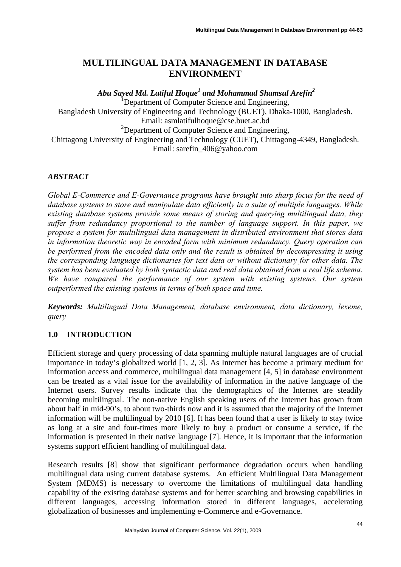# **MULTILINGUAL DATA MANAGEMENT IN DATABASE ENVIRONMENT**

 *Abu Sayed Md. Latiful Hoque<sup>1</sup> and Mohammad Shamsul Arefin<sup>2</sup>* Department of Computer Science and Engineering, Bangladesh University of Engineering and Technology (BUET), Dhaka-1000, Bangladesh. Email: asmlatifulhoque@cse.buet.ac.bd <sup>2</sup>Department of Computer Science and Engineering, Chittagong University of Engineering and Technology (CUET), Chittagong-4349, Bangladesh. Email: sarefin\_406@yahoo.com

## *ABSTRACT*

*Global E-Commerce and E-Governance programs have brought into sharp focus for the need of database systems to store and manipulate data efficiently in a suite of multiple languages. While existing database systems provide some means of storing and querying multilingual data, they suffer from redundancy proportional to the number of language support. In this paper, we propose a system for multilingual data management in distributed environment that stores data in information theoretic way in encoded form with minimum redundancy. Query operation can be performed from the encoded data only and the result is obtained by decompressing it using the corresponding language dictionaries for text data or without dictionary for other data. The system has been evaluated by both syntactic data and real data obtained from a real life schema. We have compared the performance of our system with existing systems. Our system outperformed the existing systems in terms of both space and time.* 

*Keywords: Multilingual Data Management, database environment, data dictionary, lexeme, query* 

# **1.0 INTRODUCTION**

Efficient storage and query processing of data spanning multiple natural languages are of crucial importance in today's globalized world [1, 2, 3]. As Internet has become a primary medium for information access and commerce, multilingual data management [4, 5] in database environment can be treated as a vital issue for the availability of information in the native language of the Internet users. Survey results indicate that the demographics of the Internet are steadily becoming multilingual. The non-native English speaking users of the Internet has grown from about half in mid-90's, to about two-thirds now and it is assumed that the majority of the Internet information will be multilingual by 2010 [6]. It has been found that a user is likely to stay twice as long at a site and four-times more likely to buy a product or consume a service, if the information is presented in their native language [7]. Hence, it is important that the information systems support efficient handling of multilingual data.

Research results [8] show that significant performance degradation occurs when handling multilingual data using current database systems. An efficient Multilingual Data Management System (MDMS) is necessary to overcome the limitations of multilingual data handling capability of the existing database systems and for better searching and browsing capabilities in different languages, accessing information stored in different languages, accelerating globalization of businesses and implementing e-Commerce and e-Governance.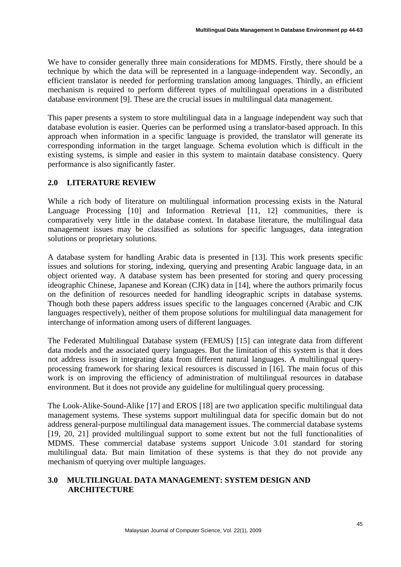We have to consider generally three main considerations for MDMS. Firstly, there should be a technique by which the data will be represented in a language-independent way. Secondly, an efficient translator is needed for performing translation among languages. Thirdly, an efficient mechanism is required to perform different types of multilingual operations in a distributed database environment [9]. These are the crucial issues in multilingual data management.

This paper presents a system to store multilingual data in a language independent way such that database evolution is easier. Queries can be performed using a translator-based approach. In this approach when information in a specific language is provided, the translator will generate its corresponding information in the target language. Schema evolution which is difficult in the existing systems, is simple and easier in this system to maintain database consistency. Query performance is also significantly faster.

# **2.0 LITERATURE REVIEW**

While a rich body of literature on multilingual information processing exists in the Natural Language Processing [10] and Information Retrieval [11, 12] communities, there is comparatively very little in the database context. In database literature, the multilingual data management issues may be classified as solutions for specific languages, data integration solutions or proprietary solutions.

A database system for handling Arabic data is presented in [13]. This work presents specific issues and solutions for storing, indexing, querying and presenting Arabic language data, in an object oriented way. A database system has been presented for storing and query processing ideographic Chinese, Japanese and Korean (CJK) data in [14], where the authors primarily focus on the definition of resources needed for handling ideographic scripts in database systems. Though both these papers address issues specific to the languages concerned (Arabic and CJK languages respectively), neither of them propose solutions for multilingual data management for interchange of information among users of different languages.

The Federated Multilingual Database system (FEMUS) [15] can integrate data from different data models and the associated query languages. But the limitation of this system is that it does not address issues in integrating data from different natural languages. A multilingual queryprocessing framework for sharing lexical resources is discussed in [16]. The main focus of this work is on improving the efficiency of administration of multilingual resources in database environment. But it does not provide any guideline for multilingual query processing.

The Look-Alike-Sound-Alike [17] and EROS [18] are two application specific multilingual data management systems. These systems support multilingual data for specific domain but do not address general-purpose multilingual data management issues. The commercial database systems [19, 20, 21] provided multilingual support to some extent but not the full functionalities of MDMS. These commercial database systems support Unicode 3.01 standard for storing multilingual data. But main limitation of these systems is that they do not provide any mechanism of querying over multiple languages.

# **3.0 MULTILINGUAL DATA MANAGEMENT: SYSTEM DESIGN AND ARCHITECTURE**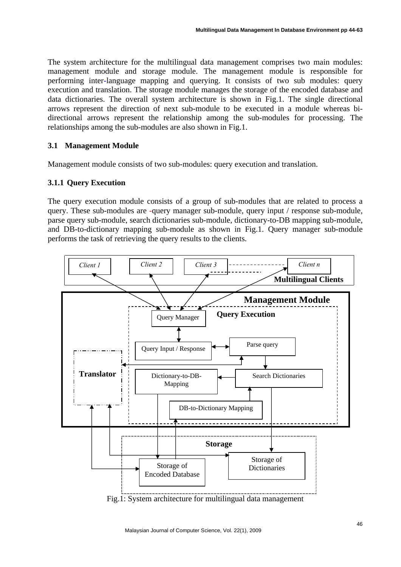The system architecture for the multilingual data management comprises two main modules: management module and storage module. The management module is responsible for performing inter-language mapping and querying. It consists of two sub modules: query execution and translation. The storage module manages the storage of the encoded database and data dictionaries. The overall system architecture is shown in Fig.1. The single directional arrows represent the direction of next sub-module to be executed in a module whereas bidirectional arrows represent the relationship among the sub-modules for processing. The relationships among the sub-modules are also shown in Fig.1.

## **3.1 Management Module**

Management module consists of two sub-modules: query execution and translation.

# **3.1.1 Query Execution**

The query execution module consists of a group of sub-modules that are related to process a query. These sub-modules are -query manager sub-module, query input / response sub-module, parse query sub-module, search dictionaries sub-module, dictionary-to-DB mapping sub-module, and DB-to-dictionary mapping sub-module as shown in Fig.1. Query manager sub-module performs the task of retrieving the query results to the clients.



Fig.1: System architecture for multilingual data management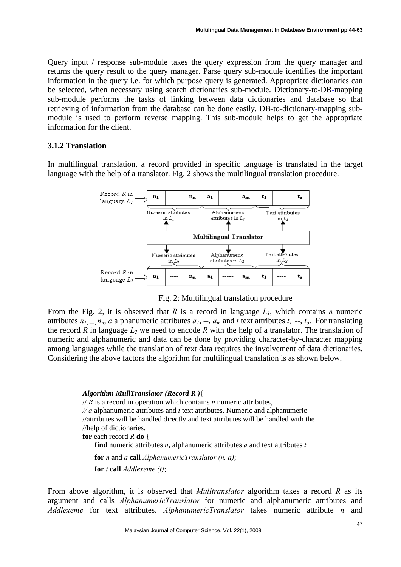Query input / response sub-module takes the query expression from the query manager and returns the query result to the query manager. Parse query sub-module identifies the important information in the query i.e. for which purpose query is generated. Appropriate dictionaries can be selected, when necessary using search dictionaries sub-module. Dictionary-to-DB-mapping sub-module performs the tasks of linking between data dictionaries and database so that retrieving of information from the database can be done easily. DB-to-dictionary-mapping submodule is used to perform reverse mapping. This sub-module helps to get the appropriate information for the client.

#### **3.1.2 Translation**

In multilingual translation, a record provided in specific language is translated in the target language with the help of a translator. Fig. 2 shows the multilingual translation procedure.



Fig. 2: Multilingual translation procedure

From the Fig. 2, it is observed that *R* is a record in language  $L_1$ , which contains *n* numeric attributes  $n_1, ..., n_n$ , *a* alphanumeric attributes  $a_1, ..., a_m$  and *t* text attributes  $t_1, ..., t_o$ . For translating the record *R* in language  $L_2$  we need to encode *R* with the help of a translator. The translation of numeric and alphanumeric and data can be done by providing character-by-character mapping among languages while the translation of text data requires the involvement of data dictionaries. Considering the above factors the algorithm for multilingual translation is as shown below.

### *Algorithm MullTranslator (Record R )*{

// *R* is a record in operation which contains *n* numeric attributes, *// a* alphanumeric attributes and *t* text attributes. Numeric and alphanumeric //attributes will be handled directly and text attributes will be handled with the //help of dictionaries. **for** each record *R* **do** { **find** numeric attributes *n*, alphanumeric attributes *a* and text attributes *t* **for** *n* and *a* **call** *AlphanumericTranslator (n, a)*; **for** *t* **call** *Addlexeme (t)*;

From above algorithm, it is observed that *Mulltranslator* algorithm takes a record *R* as its argument and calls *AlphanumericTranslator* for numeric and alphanumeric attributes and *Addlexeme* for text attributes. *AlphanumericTranslator* takes numeric attribute *n* and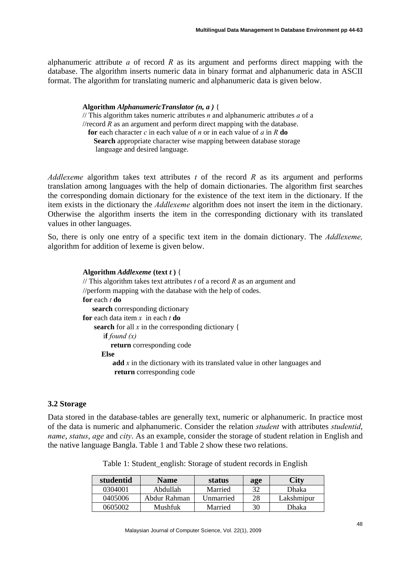alphanumeric attribute *a* of record *R* as its argument and performs direct mapping with the database. The algorithm inserts numeric data in binary format and alphanumeric data in ASCII format. The algorithm for translating numeric and alphanumeric data is given below.

> **Algorithm** *AlphanumericTranslator (n, a )* { // This algorithm takes numeric attributes *n* and alphanumeric attributes *a* of a  $\pi$ //record  $\bar{R}$  as an argument and perform direct mapping with the database. **for** each character *c* in each value of *n* or in each value of *a* in *R* **do Search** appropriate character wise mapping between database storage language and desired language.

*Addlexeme* algorithm takes text attributes *t* of the record *R* as its argument and performs translation among languages with the help of domain dictionaries. The algorithm first searches the corresponding domain dictionary for the existence of the text item in the dictionary. If the item exists in the dictionary the *Addlexeme* algorithm does not insert the item in the dictionary. Otherwise the algorithm inserts the item in the corresponding dictionary with its translated values in other languages.

So, there is only one entry of a specific text item in the domain dictionary. The *Addlexeme,*  algorithm for addition of lexeme is given below.

> **Algorithm** *Addlexeme* **(text** *t* **)** { // This algorithm takes text attributes *t* of a record *R* as an argument and //perform mapping with the database with the help of codes. **for** each *t* **do search** corresponding dictionary **for** each data item *x* in each *t* **do search** for all *x* in the corresponding dictionary { i**f** *found (x)* **return** corresponding code **Else add** *x* in the dictionary with its translated value in other languages and **return** corresponding code

## **3.2 Storage**

Data stored in the database-tables are generally text, numeric or alphanumeric. In practice most of the data is numeric and alphanumeric. Consider the relation *student* with attributes *studentid*, *name*, *status*, *age* and *city*. As an example, consider the storage of student relation in English and the native language Bangla. Table 1 and Table 2 show these two relations.

| studentid | <b>Name</b>  |           | age | <b>City</b> |
|-----------|--------------|-----------|-----|-------------|
| 0304001   | Abdullah     | Married   | 32  | Dhaka       |
| 0405006   | Abdur Rahman | Unmarried | 28  | Lakshmipur  |
| 0605002   | Mushfuk      | Married   | 30  | Dhaka       |

Table 1: Student\_english: Storage of student records in English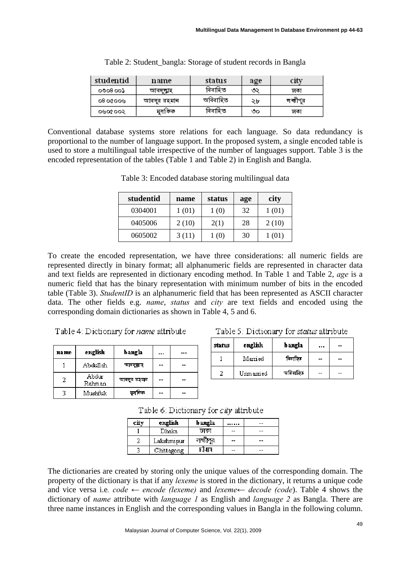| studentid | name        | status   | age | city     |
|-----------|-------------|----------|-----|----------|
| 0008003   | আবদ্যাহ     | বিবাহিত  | ು   | ঢাকা     |
| 08.00009  | আবদুর রহমান | অবিবাহিত | ২৮  | লক্ষীপুর |
| ०७०४००२   | মুদা কক     | বিবাহিত  | ౷ౚ  | ঢাকা     |

| Table 2: Student_bangla: Storage of student records in Bangla |  |  |  |
|---------------------------------------------------------------|--|--|--|
|                                                               |  |  |  |

Conventional database systems store relations for each language. So data redundancy is proportional to the number of language support. In the proposed system, a single encoded table is used to store a multilingual table irrespective of the number of languages support. Table 3 is the encoded representation of the tables (Table 1 and Table 2) in English and Bangla.

| studentid | name  | status | age | city  |
|-----------|-------|--------|-----|-------|
| 0304001   | 1(01) | 1(0)   | 32  | 1(01) |
| 0405006   | 2(10) | 2(1)   | 28  | 2(10) |
| 0605002   | 3(11) | (0)    | 30  | (01)  |

Table 3: Encoded database storing multilingual data

To create the encoded representation, we have three considerations: all numeric fields are represented directly in binary format; all alphanumeric fields are represented in character data and text fields are represented in dictionary encoding method. In Table 1 and Table 2, *age* is a numeric field that has the binary representation with minimum number of bits in the encoded table (Table 3). *StudentID* is an alphanumeric field that has been represented as ASCII character data. The other fields e.g. *name*, *status* and *city* are text fields and encoded using the corresponding domain dictionaries as shown in Table 4, 5 and 6.

Table 4: Dictionary for *name* attribute

| name | english         | bangla       |    |  |
|------|-----------------|--------------|----|--|
|      | Abdullah        | আৰদম্মাহ     |    |  |
| 2    | Abdur<br>Rahman | আবদুর রহ্মান |    |  |
|      | Mushfuk         | মুসমিক       | -- |  |

Table 5: Dictionary for status attribute

| status | english   | bangla   |    | -- |
|--------|-----------|----------|----|----|
|        | Married   | विवारिए  | -- | -- |
|        | Ummarried | অৰিবাহিত | -- |    |

Table 6: Dictionary for city attribute

| city | english    | bangla   |       | -- |
|------|------------|----------|-------|----|
|      | Dhaka      | চাকা     | $- -$ | -- |
|      | Lakshmipur | লক্ষীপুর | --    | -- |
|      | Chittagong |          | $- -$ | -- |

The dictionaries are created by storing only the unique values of the corresponding domain. The property of the dictionary is that if any *lexeme* is stored in the dictionary, it returns a unique code and vice versa i.e*. code ← encode (lexeme)* and *lexeme← decode (code*). Table 4 shows the dictionary of *name* attribute with *language 1* as English and *language 2* as Bangla. There are three name instances in English and the corresponding values in Bangla in the following column.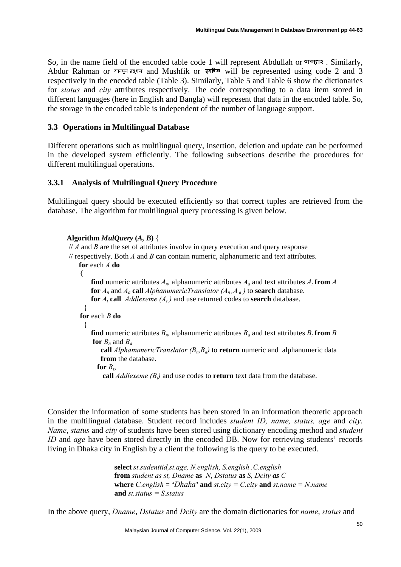So, in the name field of the encoded table code 1 will represent Abdullah or आवमूचार. Similarly, Abdur Rahman or  $\overline{u}$  where  $\overline{u}$  and Mushfik or  $\overline{u}$  and  $\overline{u}$  be represented using code 2 and 3 respectively in the encoded table (Table 3). Similarly, Table 5 and Table 6 show the dictionaries for *status* and *city* attributes respectively. The code corresponding to a data item stored in different languages (here in English and Bangla) will represent that data in the encoded table. So, the storage in the encoded table is independent of the number of language support.

### **3.3 Operations in Multilingual Database**

Different operations such as multilingual query, insertion, deletion and update can be performed in the developed system efficiently. The following subsections describe the procedures for different multilingual operations.

### **3.3.1 Analysis of Multilingual Query Procedure**

Multilingual query should be executed efficiently so that correct tuples are retrieved from the database. The algorithm for multilingual query processing is given below.

```
Algorithm MulQuery (A, B) {
```
// *A* and *B* are the set of attributes involve in query execution and query response

// respectively. Both *A* and *B* can contain numeric, alphanumeric and text attributes. **for** each *A* **do**

```
 {
```
**find** numeric attributes  $A_n$ , alphanumeric attributes  $A_n$  and text attributes  $A_t$  **from**  $A$ **for**  $A_n$  and  $A_q$  **call** *AlphanumericTranslator*  $(A_n, A_q)$  to **search** database. **for**  $A_t$  **call**  $Addlexeme(A_t)$  and use returned codes to **search** database. } **for** each *B* **do** { **find** numeric attributes  $B_n$ , alphanumeric attributes  $B_a$  and text attributes  $B_t$  **from** B **for**  $B_n$  and  $B_a$ **call** *AlphanumericTranslator* ( $B_n, B_o$ ) to **return** numeric and alphanumeric data **from** the database. for  $B_t$ , **call** *Addlexeme*  $(B_t)$  and use codes to **return** text data from the database.

Consider the information of some students has been stored in an information theoretic approach in the multilingual database. Student record includes *student ID, name, status, age* and *city*. *Name*, *status* and *city* of students have been stored using dictionary encoding method and *student ID* and *age* have been stored directly in the encoded DB. Now for retrieving students' records living in Dhaka city in English by a client the following is the query to be executed.

> **select** *st.sudenttid,st.age, N.english, S.english ,C.english*  **from** *student as st, Dname* **as** *N*, *Dstatus* **as** *S, Dcity as C* **where**  $C$ *english* =  $Dhaka$ <sup>*'*</sup> and  $st.city$  =  $C.city$  and  $st.name$  =  $N.name$ **and** *st.status = S.status*

In the above query, *Dname*, *Dstatus* and *Dcity* are the domain dictionaries for *name*, *status* and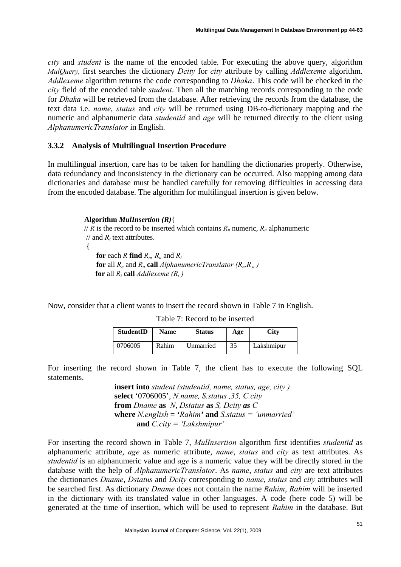*city* and *student* is the name of the encoded table. For executing the above query, algorithm *MulQuery,* first searches the dictionary *Dcity* for *city* attribute by calling *Addlexeme* algorithm. *Addlexeme* algorithm returns the code corresponding to *Dhaka*. This code will be checked in the *city* field of the encoded table *student*. Then all the matching records corresponding to the code for *Dhaka* will be retrieved from the database. After retrieving the records from the database, the text data i.e. *name*, *status* and *city* will be returned using DB-to-dictionary mapping and the numeric and alphanumeric data *studentid* and *age* will be returned directly to the client using *AlphanumericTranslator* in English.

#### **3.3.2 Analysis of Multilingual Insertion Procedure**

In multilingual insertion, care has to be taken for handling the dictionaries properly. Otherwise, data redundancy and inconsistency in the dictionary can be occurred. Also mapping among data dictionaries and database must be handled carefully for removing difficulties in accessing data from the encoded database. The algorithm for multilingual insertion is given below.

#### **Algorithm** *MulInsertion (R)*{

// *R* is the record to be inserted which contains  $R_n$  numeric,  $R_a$  alphanumeric  $\frac{1}{4}$  and  $R_t$  text attributes. { **for** each *R* **find**  $R_n$ ,  $R_a$  and  $R_t$ 

**for** all  $R_n$  and  $R_a$  **call** *AlphanumericTranslator* ( $R_n$ , $R_a$ ) **for** all  $R_t$  **call** *Addlexeme*  $(R_t)$ 

Now, consider that a client wants to insert the record shown in Table 7 in English.

| StudentID | <b>Name</b> | <b>Status</b> | Age | <b>City</b> |
|-----------|-------------|---------------|-----|-------------|
| 0706005   | Rahim       | Unmarried     | 35  | Lakshmipur  |

Table 7: Record to be inserted

For inserting the record shown in Table 7, the client has to execute the following SQL statements.

> **insert into** *student (studentid, name, status, age, city )* **select** '0706005', *N.name, S.status ,35, C.city*  **from** *Dname* **as** *N*, *Dstatus* **as** *S, Dcity as C* **where**  $N$  *english* =  $'Rahim'$  and  $S$  *status = 'unmarried'*  **and** *C.city = 'Lakshmipur'*

For inserting the record shown in Table 7, *MulInsertion* algorithm first identifies *studentid* as alphanumeric attribute, *age* as numeric attribute, *name*, *status* and *city* as text attributes. As *studentid* is an alphanumeric value and *age* is a numeric value they will be directly stored in the database with the help of *AlphanumericTranslator*. As *name*, *status* and *city* are text attributes the dictionaries *Dname*, *Dstatus* and *Dcity* corresponding to *name*, *status* and *city* attributes will be searched first. As dictionary *Dname* does not contain the name *Rahim*, *Rahim* will be inserted in the dictionary with its translated value in other languages. A code (here code 5) will be generated at the time of insertion, which will be used to represent *Rahim* in the database. But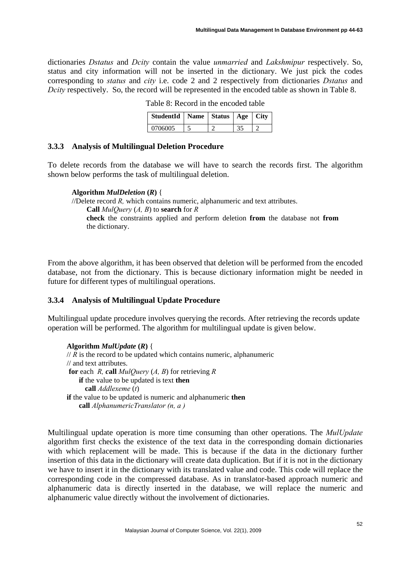dictionaries *Dstatus* and *Dcity* contain the value *unmarried* and *Lakshmipur* respectively. So, status and city information will not be inserted in the dictionary. We just pick the codes corresponding to *status* and *city* i.e. code 2 and 2 respectively from dictionaries *Dstatus* and *Dcity* respectively. So, the record will be represented in the encoded table as shown in Table 8.

| StudentId   Name   Status   Age   City |  |  |
|----------------------------------------|--|--|
| 0706005                                |  |  |

Table 8: Record in the encoded table

### **3.3.3 Analysis of Multilingual Deletion Procedure**

To delete records from the database we will have to search the records first. The algorithm shown below performs the task of multilingual deletion.

**Algorithm** *MulDeletion* **(***R***)** { //Delete record *R,* which contains numeric, alphanumeric and text attributes. **Call** *MulQuery* (*A, B*) to **search** for *R* **check** the constraints applied and perform deletion **from** the database not **from** the dictionary.

From the above algorithm, it has been observed that deletion will be performed from the encoded database, not from the dictionary. This is because dictionary information might be needed in future for different types of multilingual operations.

#### **3.3.4 Analysis of Multilingual Update Procedure**

Multilingual update procedure involves querying the records. After retrieving the records update operation will be performed. The algorithm for multilingual update is given below.

### **Algorithm** *MulUpdate* **(***R***)** {  $// R$  is the record to be updated which contains numeric, alphanumeric // and text attributes. **for** each *R, c***all** *MulQuery* (*A, B*) for retrieving *R* **if** the value to be updated is text **then call** *Addlexeme* (*t*) **if** the value to be updated is numeric and alphanumeric **then call** *AlphanumericTranslator (n, a )*

Multilingual update operation is more time consuming than other operations. The *MulUpdate* algorithm first checks the existence of the text data in the corresponding domain dictionaries with which replacement will be made. This is because if the data in the dictionary further insertion of this data in the dictionary will create data duplication. But if it is not in the dictionary we have to insert it in the dictionary with its translated value and code. This code will replace the corresponding code in the compressed database. As in translator-based approach numeric and alphanumeric data is directly inserted in the database, we will replace the numeric and alphanumeric value directly without the involvement of dictionaries.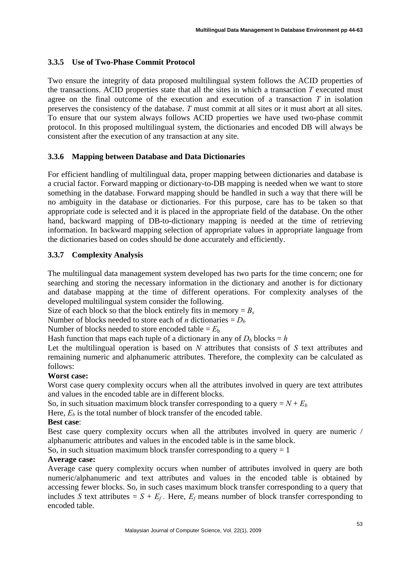# **3.3.5 Use of Two-Phase Commit Protocol**

Two ensure the integrity of data proposed multilingual system follows the ACID properties of the transactions. ACID properties state that all the sites in which a transaction *T* executed must agree on the final outcome of the execution and execution of a transaction *T* in isolation preserves the consistency of the database. *T* must commit at all sites or it must abort at all sites. To ensure that our system always follows ACID properties we have used two-phase commit protocol. In this proposed multilingual system, the dictionaries and encoded DB will always be consistent after the execution of any transaction at any site.

## **3.3.6 Mapping between Database and Data Dictionaries**

For efficient handling of multilingual data, proper mapping between dictionaries and database is a crucial factor. Forward mapping or dictionary-to-DB mapping is needed when we want to store something in the database. Forward mapping should be handled in such a way that there will be no ambiguity in the database or dictionaries. For this purpose, care has to be taken so that appropriate code is selected and it is placed in the appropriate field of the database. On the other hand, backward mapping of DB-to-dictionary mapping is needed at the time of retrieving information. In backward mapping selection of appropriate values in appropriate language from the dictionaries based on codes should be done accurately and efficiently.

# **3.3.7 Complexity Analysis**

The multilingual data management system developed has two parts for the time concern; one for searching and storing the necessary information in the dictionary and another is for dictionary and database mapping at the time of different operations. For complexity analyses of the developed multilingual system consider the following.

Size of each block so that the block entirely fits in memory  $= B_s$ 

Number of blocks needed to store each of *n* dictionaries =  $D<sub>b</sub>$ 

Number of blocks needed to store encoded table  $= E<sub>b</sub>$ 

Hash function that maps each tuple of a dictionary in any of  $D_b$  blocks =  $h$ 

Let the multilingual operation is based on *N* attributes that consists of *S* text attributes and remaining numeric and alphanumeric attributes. Therefore, the complexity can be calculated as follows:

## **Worst case:**

Worst case query complexity occurs when all the attributes involved in query are text attributes and values in the encoded table are in different blocks.

So, in such situation maximum block transfer corresponding to a query  $=N+E_b$ 

Here,  $E_b$  is the total number of block transfer of the encoded table.

## **Best case**:

Best case query complexity occurs when all the attributes involved in query are numeric / alphanumeric attributes and values in the encoded table is in the same block.

So, in such situation maximum block transfer corresponding to a query  $= 1$ 

## **Average case:**

Average case query complexity occurs when number of attributes involved in query are both numeric/alphanumeric and text attributes and values in the encoded table is obtained by accessing fewer blocks. So, in such cases maximum block transfer corresponding to a query that includes *S* text attributes =  $S + E_f$ . Here,  $E_f$  means number of block transfer corresponding to encoded table.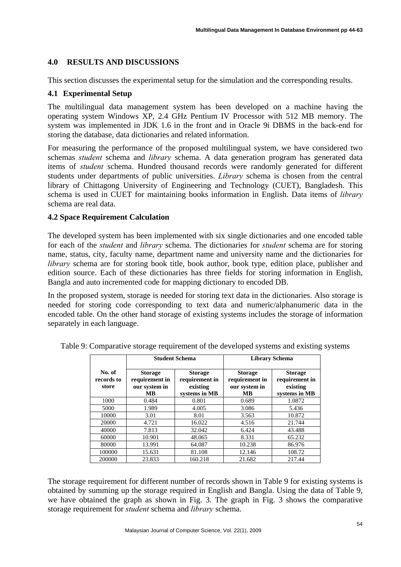# **4.0 RESULTS AND DISCUSSIONS**

This section discusses the experimental setup for the simulation and the corresponding results.

# **4.1 Experimental Setup**

The multilingual data management system has been developed on a machine having the operating system Windows XP, 2.4 GHz Pentium IV Processor with 512 MB memory. The system was implemented in JDK 1.6 in the front and in Oracle 9i DBMS in the back-end for storing the database, data dictionaries and related information.

For measuring the performance of the proposed multilingual system, we have considered two schemas *student* schema and *library* schema. A data generation program has generated data items of *student* schema. Hundred thousand records were randomly generated for different students under departments of public universities. *Library* schema is chosen from the central library of Chittagong University of Engineering and Technology (CUET), Bangladesh. This schema is used in CUET for maintaining books information in English. Data items of *library* schema are real data.

## **4.2 Space Requirement Calculation**

The developed system has been implemented with six single dictionaries and one encoded table for each of the *student* and *library* schema. The dictionaries for *student* schema are for storing name, status, city, faculty name, department name and university name and the dictionaries for *library* schema are for storing book title, book author, book type, edition place, publisher and edition source. Each of these dictionaries has three fields for storing information in English, Bangla and auto incremented code for mapping dictionary to encoded DB.

In the proposed system, storage is needed for storing text data in the dictionaries. Also storage is needed for storing code corresponding to text data and numeric/alphanumeric data in the encoded table. On the other hand storage of existing systems includes the storage of information separately in each language.

|                               |                                                          | <b>Student Schema</b>                                         | <b>Library Schema</b>                                   |                                                               |  |
|-------------------------------|----------------------------------------------------------|---------------------------------------------------------------|---------------------------------------------------------|---------------------------------------------------------------|--|
| No. of<br>records to<br>store | <b>Storage</b><br>requirement in<br>our system in<br>MB. | <b>Storage</b><br>requirement in<br>existing<br>systems in MB | <b>Storage</b><br>requirement in<br>our system in<br>MВ | <b>Storage</b><br>requirement in<br>existing<br>systems in MB |  |
| 1000                          | 0.484                                                    | 0.801                                                         | 0.689                                                   | 1.0872                                                        |  |
| 5000                          | 1.989                                                    | 4.005                                                         | 3.086                                                   | 5.436                                                         |  |
| 10000                         | 3.01                                                     | 8.01                                                          | 3.563                                                   | 10.872                                                        |  |
| 20000                         | 4.721                                                    | 16.022                                                        | 4.516                                                   | 21.744                                                        |  |
| 40000                         | 7.813                                                    | 32.042                                                        | 6.424                                                   | 43.488                                                        |  |
| 60000                         | 10.901                                                   | 48.065                                                        | 8.331                                                   | 65.232                                                        |  |
| 80000                         | 13.991                                                   | 64.087                                                        | 10.238                                                  | 86.976                                                        |  |
| 100000                        | 15.631                                                   | 81.108                                                        | 12.146                                                  | 108.72                                                        |  |
| 200000                        | 23.833                                                   | 160.218                                                       | 21.682                                                  | 217.44                                                        |  |

Table 9: Comparative storage requirement of the developed systems and existing systems

The storage requirement for different number of records shown in Table 9 for existing systems is obtained by summing up the storage required in English and Bangla. Using the data of Table 9, we have obtained the graph as shown in Fig. 3. The graph in Fig. 3 shows the comparative storage requirement for *student* schema and *library* schema.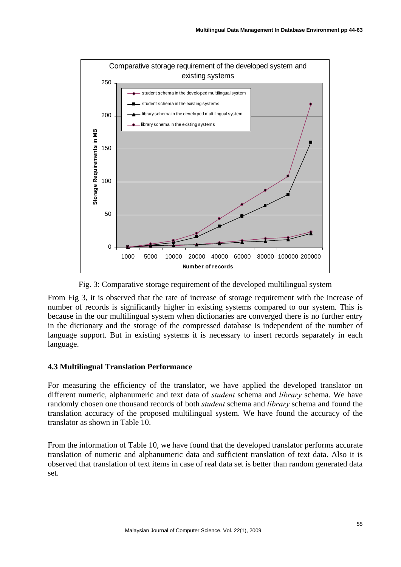

Fig. 3: Comparative storage requirement of the developed multilingual system

From Fig 3, it is observed that the rate of increase of storage requirement with the increase of number of records is significantly higher in existing systems compared to our system. This is because in the our multilingual system when dictionaries are converged there is no further entry in the dictionary and the storage of the compressed database is independent of the number of language support. But in existing systems it is necessary to insert records separately in each language.

## **4.3 Multilingual Translation Performance**

For measuring the efficiency of the translator, we have applied the developed translator on different numeric, alphanumeric and text data of *student* schema and *library* schema. We have randomly chosen one thousand records of both *student* schema and *library* schema and found the translation accuracy of the proposed multilingual system. We have found the accuracy of the translator as shown in Table 10.

From the information of Table 10, we have found that the developed translator performs accurate translation of numeric and alphanumeric data and sufficient translation of text data. Also it is observed that translation of text items in case of real data set is better than random generated data set.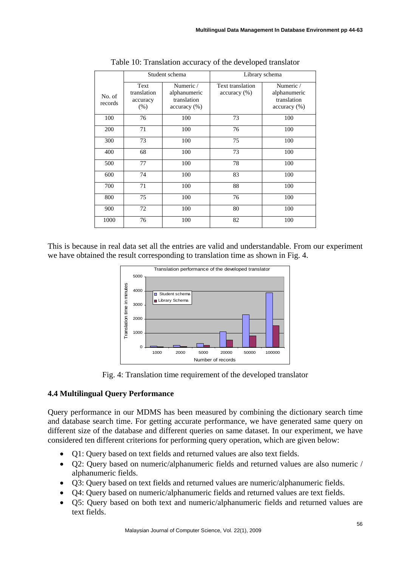|                   |                                         | Student schema                                           |                                  | Library schema                                           |
|-------------------|-----------------------------------------|----------------------------------------------------------|----------------------------------|----------------------------------------------------------|
| No. of<br>records | Text<br>translation<br>accuracy<br>(% ) | Numeric /<br>alphanumeric<br>translation<br>accuracy (%) | Text translation<br>accuracy (%) | Numeric /<br>alphanumeric<br>translation<br>accuracy (%) |
| 100               | 76                                      | 100                                                      | 73                               | 100                                                      |
| 200               | 71                                      | 100                                                      | 76                               | 100                                                      |
| 300               | 73                                      | 100                                                      | 75                               | 100                                                      |
| 400               | 68                                      | 100                                                      | 73                               | 100                                                      |
| 500               | 77                                      | 100                                                      | 78                               | 100                                                      |
| 600               | 74                                      | 100                                                      | 83                               | 100                                                      |
| 700               | 71                                      | 100                                                      | 88                               | 100                                                      |
| 800               | 75                                      | 100                                                      | 76                               | 100                                                      |
| 900               | 72                                      | 100                                                      | 80                               | 100                                                      |
| 1000              | 76                                      | 100                                                      | 82                               | 100                                                      |

Table 10: Translation accuracy of the developed translator

This is because in real data set all the entries are valid and understandable. From our experiment we have obtained the result corresponding to translation time as shown in Fig. 4.



Fig. 4: Translation time requirement of the developed translator

# **4.4 Multilingual Query Performance**

Query performance in our MDMS has been measured by combining the dictionary search time and database search time. For getting accurate performance, we have generated same query on different size of the database and different queries on same dataset. In our experiment, we have considered ten different criterions for performing query operation, which are given below:

- Q1: Query based on text fields and returned values are also text fields.
- Q2: Query based on numeric/alphanumeric fields and returned values are also numeric / alphanumeric fields.
- Q3: Query based on text fields and returned values are numeric/alphanumeric fields.
- Q4: Query based on numeric/alphanumeric fields and returned values are text fields.
- Q5: Query based on both text and numeric/alphanumeric fields and returned values are text fields.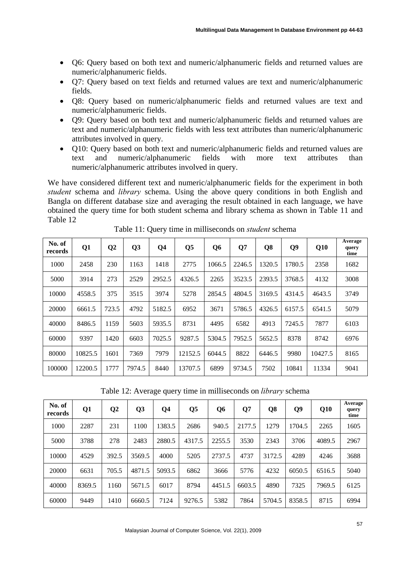- Q6: Query based on both text and numeric/alphanumeric fields and returned values are numeric/alphanumeric fields.
- Q7: Query based on text fields and returned values are text and numeric/alphanumeric fields.
- Q8: Query based on numeric/alphanumeric fields and returned values are text and numeric/alphanumeric fields.
- Q9: Query based on both text and numeric/alphanumeric fields and returned values are text and numeric/alphanumeric fields with less text attributes than numeric/alphanumeric attributes involved in query.
- Q10: Query based on both text and numeric/alphanumeric fields and returned values are text and numeric/alphanumeric fields with more text attributes than numeric/alphanumeric attributes involved in query.

We have considered different text and numeric/alphanumeric fields for the experiment in both *student* schema and *library* schema. Using the above query conditions in both English and Bangla on different database size and averaging the result obtained in each language, we have obtained the query time for both student schema and library schema as shown in Table 11 and Table 12

| No. of<br>records | Q <sub>1</sub> | Q <sub>2</sub> | Q <sub>3</sub> | Q <sub>4</sub> | Q <sub>5</sub> | Q <sub>6</sub> | Q7     | Q8     | Q <sub>9</sub> | Q10     | Average<br>query<br>time |
|-------------------|----------------|----------------|----------------|----------------|----------------|----------------|--------|--------|----------------|---------|--------------------------|
| 1000              | 2458           | 230            | 1163           | 1418           | 2775           | 1066.5         | 2246.5 | 1320.5 | 1780.5         | 2358    | 1682                     |
| 5000              | 3914           | 273            | 2529           | 2952.5         | 4326.5         | 2265           | 3523.5 | 2393.5 | 3768.5         | 4132    | 3008                     |
| 10000             | 4558.5         | 375            | 3515           | 3974           | 5278           | 2854.5         | 4804.5 | 3169.5 | 4314.5         | 4643.5  | 3749                     |
| 20000             | 6661.5         | 723.5          | 4792           | 5182.5         | 6952           | 3671           | 5786.5 | 4326.5 | 6157.5         | 6541.5  | 5079                     |
| 40000             | 8486.5         | 1159           | 5603           | 5935.5         | 8731           | 4495           | 6582   | 4913   | 7245.5         | 7877    | 6103                     |
| 60000             | 9397           | 1420           | 6603           | 7025.5         | 9287.5         | 5304.5         | 7952.5 | 5652.5 | 8378           | 8742    | 6976                     |
| 80000             | 10825.5        | 1601           | 7369           | 7979           | 12152.5        | 6044.5         | 8822   | 6446.5 | 9980           | 10427.5 | 8165                     |
| 100000            | 12200.5        | 1777           | 7974.5         | 8440           | 13707.5        | 6899           | 9734.5 | 7502   | 10841          | 11334   | 9041                     |

Table 11: Query time in milliseconds on *student* schema

Table 12: Average query time in milliseconds on *library* schema

| No. of<br>records | Q1     | $\bf Q2$ | Q <sub>3</sub> | Q <sub>4</sub> | Q <sub>5</sub> | Q6     | Q7     | Q8     | Q <sub>9</sub> | Q10    | Average<br>query<br>time |
|-------------------|--------|----------|----------------|----------------|----------------|--------|--------|--------|----------------|--------|--------------------------|
| 1000              | 2287   | 231      | 1100           | 1383.5         | 2686           | 940.5  | 2177.5 | 1279   | 1704.5         | 2265   | 1605                     |
| 5000              | 3788   | 278      | 2483           | 2880.5         | 4317.5         | 2255.5 | 3530   | 2343   | 3706           | 4089.5 | 2967                     |
| 10000             | 4529   | 392.5    | 3569.5         | 4000           | 5205           | 2737.5 | 4737   | 3172.5 | 4289           | 4246   | 3688                     |
| 20000             | 6631   | 705.5    | 4871.5         | 5093.5         | 6862           | 3666   | 5776   | 4232   | 6050.5         | 6516.5 | 5040                     |
| 40000             | 8369.5 | 1160     | 5671.5         | 6017           | 8794           | 4451.5 | 6603.5 | 4890   | 7325           | 7969.5 | 6125                     |
| 60000             | 9449   | 1410     | 6660.5         | 7124           | 9276.5         | 5382   | 7864   | 5704.5 | 8358.5         | 8715   | 6994                     |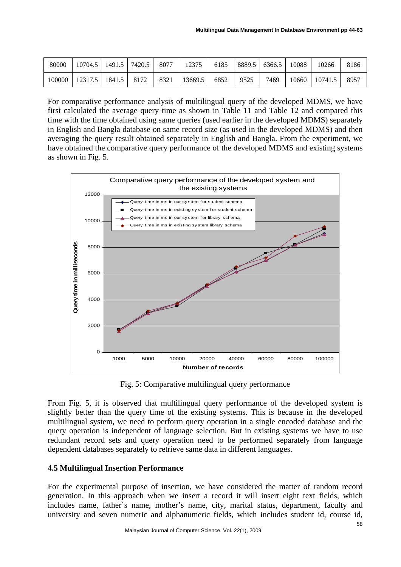| 80000  | 10704.5 | 1491.5 | 7420.5 | 8077 | 2375    | 6185 | 8889.5 | 6366.5 | 10088 | 10266   | 8186 |
|--------|---------|--------|--------|------|---------|------|--------|--------|-------|---------|------|
| 100000 | 12317.  | 1841.5 | 8172   | 8321 | 13669.5 | 6852 | 9525   | 7469   | 10660 | 10741.5 | 8957 |

For comparative performance analysis of multilingual query of the developed MDMS, we have first calculated the average query time as shown in Table 11 and Table 12 and compared this time with the time obtained using same queries (used earlier in the developed MDMS) separately in English and Bangla database on same record size (as used in the developed MDMS) and then averaging the query result obtained separately in English and Bangla. From the experiment, we have obtained the comparative query performance of the developed MDMS and existing systems as shown in Fig. 5.



Fig. 5: Comparative multilingual query performance

From Fig. 5, it is observed that multilingual query performance of the developed system is slightly better than the query time of the existing systems. This is because in the developed multilingual system, we need to perform query operation in a single encoded database and the query operation is independent of language selection. But in existing systems we have to use redundant record sets and query operation need to be performed separately from language dependent databases separately to retrieve same data in different languages.

## **4.5 Multilingual Insertion Performance**

For the experimental purpose of insertion, we have considered the matter of random record generation. In this approach when we insert a record it will insert eight text fields, which includes name, father's name, mother's name, city, marital status, department, faculty and university and seven numeric and alphanumeric fields, which includes student id, course id,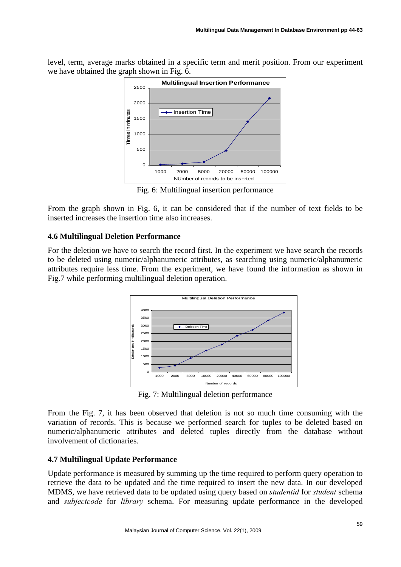level, term, average marks obtained in a specific term and merit position. From our experiment we have obtained the graph shown in Fig. 6.



Fig. 6: Multilingual insertion performance

From the graph shown in Fig. 6, it can be considered that if the number of text fields to be inserted increases the insertion time also increases.

### **4.6 Multilingual Deletion Performance**

For the deletion we have to search the record first. In the experiment we have search the records to be deleted using numeric/alphanumeric attributes, as searching using numeric/alphanumeric attributes require less time. From the experiment, we have found the information as shown in Fig.7 while performing multilingual deletion operation.



Fig. 7: Multilingual deletion performance

From the Fig. 7, it has been observed that deletion is not so much time consuming with the variation of records. This is because we performed search for tuples to be deleted based on numeric/alphanumeric attributes and deleted tuples directly from the database without involvement of dictionaries.

## **4.7 Multilingual Update Performance**

Update performance is measured by summing up the time required to perform query operation to retrieve the data to be updated and the time required to insert the new data. In our developed MDMS, we have retrieved data to be updated using query based on *studentid* for *student* schema and *subjectcode* for *library* schema. For measuring update performance in the developed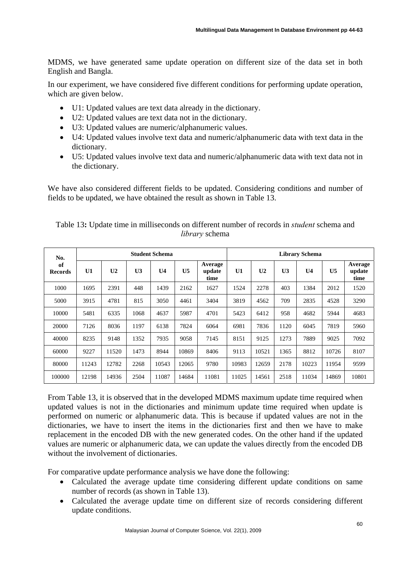MDMS, we have generated same update operation on different size of the data set in both English and Bangla.

In our experiment, we have considered five different conditions for performing update operation, which are given below.

- U1: Updated values are text data already in the dictionary.
- U2: Updated values are text data not in the dictionary.
- U3: Updated values are numeric/alphanumeric values.
- U4: Updated values involve text data and numeric/alphanumeric data with text data in the dictionary.
- U5: Updated values involve text data and numeric/alphanumeric data with text data not in the dictionary.

We have also considered different fields to be updated. Considering conditions and number of fields to be updated, we have obtained the result as shown in Table 13.

| No.<br>of<br><b>Records</b> | <b>Student Schema</b> |                |                |                |                |                           |       | <b>Library Schema</b> |                |                |                |                           |  |
|-----------------------------|-----------------------|----------------|----------------|----------------|----------------|---------------------------|-------|-----------------------|----------------|----------------|----------------|---------------------------|--|
|                             | U1                    | U <sub>2</sub> | U <sub>3</sub> | U <sub>4</sub> | U <sub>5</sub> | Average<br>update<br>time | U1    | U <sub>2</sub>        | U <sub>3</sub> | U <sub>4</sub> | U <sub>5</sub> | Average<br>update<br>time |  |
| 1000                        | 1695                  | 2391           | 448            | 1439           | 2162           | 1627                      | 1524  | 2278                  | 403            | 1384           | 2012           | 1520                      |  |
| 5000                        | 3915                  | 4781           | 815            | 3050           | 4461           | 3404                      | 3819  | 4562                  | 709            | 2835           | 4528           | 3290                      |  |
| 10000                       | 5481                  | 6335           | 1068           | 4637           | 5987           | 4701                      | 5423  | 6412                  | 958            | 4682           | 5944           | 4683                      |  |
| 20000                       | 7126                  | 8036           | 1197           | 6138           | 7824           | 6064                      | 6981  | 7836                  | 1120           | 6045           | 7819           | 5960                      |  |
| 40000                       | 8235                  | 9148           | 1352           | 7935           | 9058           | 7145                      | 8151  | 9125                  | 1273           | 7889           | 9025           | 7092                      |  |
| 60000                       | 9227                  | 11520          | 1473           | 8944           | 10869          | 8406                      | 9113  | 10521                 | 1365           | 8812           | 10726          | 8107                      |  |
| 80000                       | 11243                 | 12782          | 2268           | 10543          | 12065          | 9780                      | 10983 | 12659                 | 2178           | 10223          | 11954          | 9599                      |  |
| 100000                      | 12198                 | 14936          | 2504           | 11087          | 14684          | 11081                     | 11025 | 14561                 | 2518           | 11034          | 14869          | 10801                     |  |

Table 13**:** Update time in milliseconds on different number of records in *student* schema and *library* schema

From Table 13, it is observed that in the developed MDMS maximum update time required when updated values is not in the dictionaries and minimum update time required when update is performed on numeric or alphanumeric data. This is because if updated values are not in the dictionaries, we have to insert the items in the dictionaries first and then we have to make replacement in the encoded DB with the new generated codes. On the other hand if the updated values are numeric or alphanumeric data, we can update the values directly from the encoded DB without the involvement of dictionaries.

For comparative update performance analysis we have done the following:

- Calculated the average update time considering different update conditions on same number of records (as shown in Table 13).
- Calculated the average update time on different size of records considering different update conditions.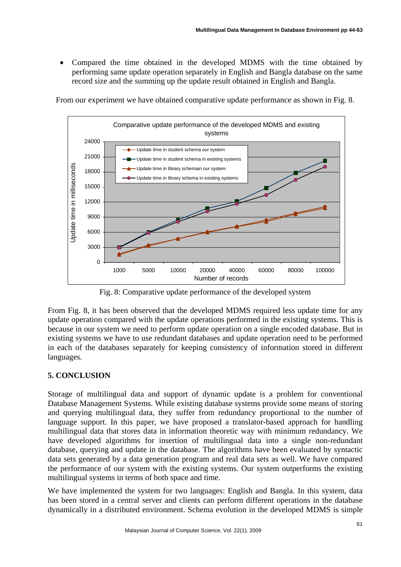• Compared the time obtained in the developed MDMS with the time obtained by performing same update operation separately in English and Bangla database on the same record size and the summing up the update result obtained in English and Bangla.

From our experiment we have obtained comparative update performance as shown in Fig. 8.



Fig. 8: Comparative update performance of the developed system

From Fig. 8, it has been observed that the developed MDMS required less update time for any update operation compared with the update operations performed in the existing systems. This is because in our system we need to perform update operation on a single encoded database. But in existing systems we have to use redundant databases and update operation need to be performed in each of the databases separately for keeping consistency of information stored in different languages.

# **5. CONCLUSION**

Storage of multilingual data and support of dynamic update is a problem for conventional Database Management Systems. While existing database systems provide some means of storing and querying multilingual data, they suffer from redundancy proportional to the number of language support. In this paper, we have proposed a translator-based approach for handling multilingual data that stores data in information theoretic way with minimum redundancy. We have developed algorithms for insertion of multilingual data into a single non-redundant database, querying and update in the database. The algorithms have been evaluated by syntactic data sets generated by a data generation program and real data sets as well. We have compared the performance of our system with the existing systems. Our system outperforms the existing multilingual systems in terms of both space and time.

We have implemented the system for two languages: English and Bangla. In this system, data has been stored in a central server and clients can perform different operations in the database dynamically in a distributed environment. Schema evolution in the developed MDMS is simple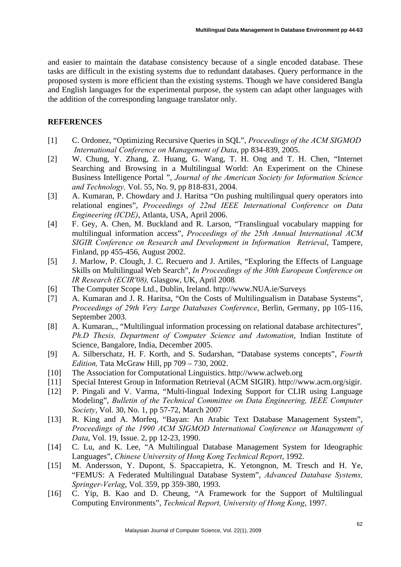and easier to maintain the database consistency because of a single encoded database. These tasks are difficult in the existing systems due to redundant databases. Query performance in the proposed system is more efficient than the existing systems. Though we have considered Bangla and English languages for the experimental purpose, the system can adapt other languages with the addition of the corresponding language translator only.

### **REFERENCES**

- [1] C. Ordonez, "Optimizing Recursive Queries in SQL", *Proceedings of the ACM SIGMOD International Conference on Management of Data*, pp 834-839, 2005.
- [2] W. Chung, Y. Zhang, Z. Huang, G. Wang, T. H. Ong and T. H. Chen, "Internet Searching and Browsing in a Multilingual World: An Experiment on the Chinese Business Intelligence Portal ", *Journal of the American Society for Information Science and Technology,* Vol. 55, No. 9, pp 818-831, 2004.
- [3] A. Kumaran, P. Chowdary and J. Haritsa "On pushing multilingual query operators into relational engines", *Proceedings of 22nd IEEE International Conference on Data Engineering (ICDE)*, Atlanta, USA, April 2006.
- [4] F. Gey, A. Chen, M. Buckland and R. Larson, "Translingual vocabulary mapping for multilingual information access", *Proceedings of the 25th Annual International ACM SIGIR Conference on Research and Development in Information Retrieval*, Tampere, Finland, pp 455-456, August 2002.
- [5] J. Marlow, P. Clough, J. C. Recuero and J. Artiles, "Exploring the Effects of Language Skills on Multilingual Web Search", *In Proceedings of the 30th European Conference on IR Research (ECIR'08),* Glasgow, UK, April 2008*.*
- [6] The Computer Scope Ltd., Dublin, Ireland. http://www.NUA.ie/Surveys
- [7] A. Kumaran and J. R. Haritsa, "On the Costs of Multilingualism in Database Systems", *Proceedings of 29th Very Large Databases Conference*, Berlin, Germany, pp 105-116, September 2003.
- [8] A. Kumaran,., "Multilingual information processing on relational database architectures", *Ph.D Thesis, Department of Computer Science and Automation*, Indian Institute of Science, Bangalore, India, December 2005.
- [9] A. Silberschatz, H. F. Korth, and S. Sudarshan, "Database systems concepts", *Fourth Edition,* Tata McGraw Hill, pp 709 – 730, 2002.
- [10] The Association for Computational Linguistics. http://www.aclweb.org
- [11] Special Interest Group in Information Retrieval (ACM SIGIR). http://www.acm.org/sigir.
- [12] P. Pingali and V. Varma, "Multi-lingual Indexing Support for CLIR using Language Modeling", *Bulletin of the Technical Committee on Data Engineering, IEEE Computer Society*, Vol. 30, No. 1, pp 57-72, March 2007
- [13] R. King and A. Morfeq, "Bayan: An Arabic Text Database Management System", *Proceedings of the 1990 ACM SIGMOD International Conference on Management of Data*, Vol. 19, Issue. 2, pp 12-23, 1990.
- [14] C. Lu, and K. Lee, "A Multilingual Database Management System for Ideographic Languages", *Chinese University of Hong Kong Technical Report*, 1992.
- [15] M. Andersson, Y. Dupont, S. Spaccapietra, K. Yetongnon, M. Tresch and H. Ye, "FEMUS: A Federated Multilingual Database System", *Advanced Database Systems, Springer-Verlag*, Vol. 359, pp 359-380, 1993.
- [16] C. Yip, B. Kao and D. Cheung, "A Framework for the Support of Multilingual Computing Environments", *Technical Report, University of Hong Kong*, 1997.